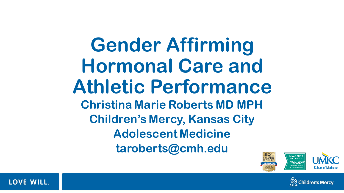**Gender Affirming Hormonal Care and Athletic Performance Christina Marie Roberts MD MPH Children's Mercy, Kansas City Adolescent Medicine taroberts@cmh.edu**





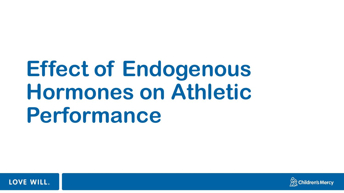# **Effect of Endogenous Hormones on Athletic Performance**



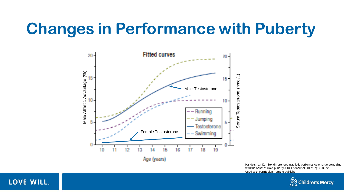## **Changes in Performance with Puberty**



Handelsman DJ. Sex differences in athletic performance emerge coinciding w ith the onset of male puberty. Clin Endocrinol 2017;87(1):68–72. Used w ith permission from the publisher



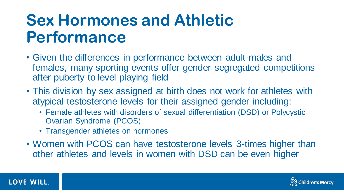# **Sex Hormones and Athletic Performance**

- Given the differences in performance between adult males and females, many sporting events offer gender segregated competitions after puberty to level playing field
- This division by sex assigned at birth does not work for athletes with atypical testosterone levels for their assigned gender including:
	- Female athletes with disorders of sexual differentiation (DSD) or Polycystic Ovarian Syndrome (PCOS)
	- Transgender athletes on hormones
- Women with PCOS can have testosterone levels 3-times higher than other athletes and levels in women with DSD can be even higher



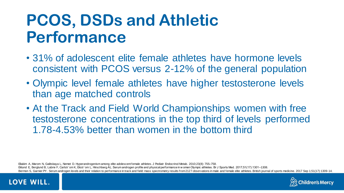# **PCOS, DSDs and Athletic Performance**

- 31% of adolescent elite female athletes have hormone levels consistent with PCOS versus 2-12% of the general population
- Olympic level female athletes have higher testosterone levels than age matched controls
- At the Track and Field World Championships women with free testosterone concentrations in the top third of levels performed 1.78-4.53% better than women in the bottom third

Eliakim A, Marom N, Galitskaya L, Nemet D. Hyperandrogenism among elite adolescent female athletes. J Pediatr Endocrinol Metab. 2010;23(8): 755–758. Eklund E, Berglund B, Labrie F, Carlstr¨om K, Ekstr¨om L, Hirschberg AL. Serum androgen profile and physical performance in w omen Olympic athletes. Br J Sports Med. 2017;51(17):1301–1308. Bermon S, Garnier PY. Serum androgen levels and their relation to performance in track and field: mass spectrometry results from 2127 observations in male and female elite athletes. British journal of sports medicine. 2017



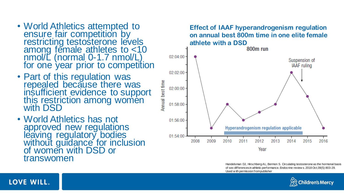- World Athletics attempted to ensure fair competition by restricting testosterone levels among female athletes to <10 nmol/L (normal 0-1.7 nmol/L) for one year prior to competition
- Part of this regulation was repealed because there was insufficient evidence to support this restriction among women with DSD
- World Athletics has not approved new regulations leaving regulatory bodies without guidance for inclusion of women with DSD or transwomen

LOVE WILL.



Handelsman DJ, Hirschberg AL, Bermon S. Circulating testosterone as the hormonal basis of sex differences in athletic performance. Endocrine review s. 2018 Oct;39(5):803-29. Used w ith permission from publisher

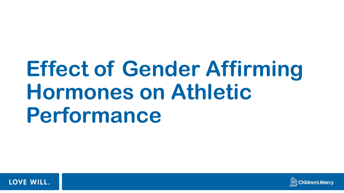# **Effect of Gender Affirming Hormones on Athletic Performance**



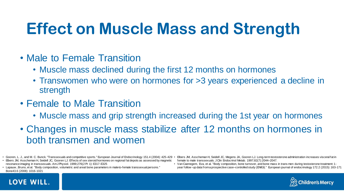# **Effect on Muscle Mass and Strength**

- Male to Female Transition
	- Muscle mass declined during the first 12 months on hormones
	- Transwomen who were on hormones for >3 years experienced a decline in strength
- Female to Male Transition
	- Muscle mass and grip strength increased during the 1st year on hormones
- Changes in muscle mass stabilize after 12 months on hormones in both transmen and women
- Gooren, L. J., and M. C. Bunck. "Transsexuals and competitive sports." European Journal of Endocrinology 151.4 (2004): 425-429 •
- Elbers JM, Asscheman H, Seidell JC, Gooren LJ. Effects of sex steroid hormones on regional fat depots as assessed by magnetic resonance imaging in transsexuals. Am J Physiol. 1999;276(2 Pt 1): E317-E325
- Lapauw , Bruno, et al. "Body composition, volumetric and areal bone parameters in male-to-female transsexual persons." Bone43.6 (2008): 1016-1021

**LOVE WILL.** 

- Elbers JM, Asscheman H, Seidell JC, Megens JA, Gooren LJ. Long-term testosterone administration increases visceral fat in female to male transsexuals. J Clin Endocrinol Metab. 1997;82(7):2044–2047.
- Van Caenegem, Eva, et al. "Body composition, bone turnover, and bone mass in trans men during testosterone treatment: 1 year follow -up data from a prospective case–controlled study (ENIGI)." European journal of endocrinology 172.2 (2015): 163-171

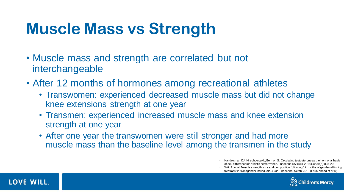# **Muscle Mass vs Strength**

- Muscle mass and strength are correlated but not interchangeable
- After 12 months of hormones among recreational athletes
	- Transwomen: experienced decreased muscle mass but did not change knee extensions strength at one year
	- Transmen: experienced increased muscle mass and knee extension strength at one year
	- After one year the transwomen were still stronger and had more muscle mass than the baseline level among the transmen in the study

• Wilk A, et.al. Muscle strength, size and composition follow ing 12 months of gender-affirming treatment in transgender individuals. J Clin Endocrinol Metab 2019 (Epub ahead of print)





<sup>•</sup> Handelsman DJ, Hirschberg AL, Bermon S. Circulating testosterone as the hormonal basis of sex differences in athletic performance. Endocrine review s. 2018 Oct;39(5):803-29.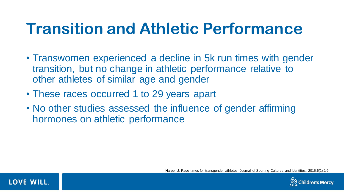- Transwomen experienced a decline in 5k run times with gender transition, but no change in athletic performance relative to other athletes of similar age and gender
- These races occurred 1 to 29 years apart
- No other studies assessed the influence of gender affirming hormones on athletic performance

**Children's Mercy** 

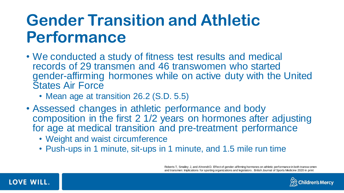- We conducted a study of fitness test results and medical records of 29 transmen and 46 transwomen who started gender-affirming hormones while on active duty with the United States Air Force
	- Mean age at transition 26.2 (S.D. 5.5)
- Assessed changes in athletic performance and body composition in the first 2 1/2 years on hormones after adjusting for age at medical transition and pre-treatment performance
	- Weight and waist circumference
	- Push-ups in 1 minute, sit-ups in 1 minute, and 1.5 mile run time

Roberts T, Smalley J, and Ahrendt D. Effect of gender-affirming hormones on athletic performance in both transw omen and transmen: Implications for sporting organizations and legislators . British Journal of Sports Medicine 2020 in print



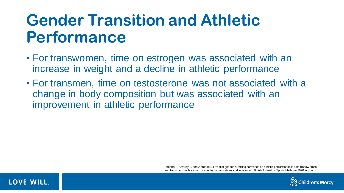- For transwomen, time on estrogen was associated with an increase in weight and a decline in athletic performance
- For transmen, time on testosterone was not associated with a change in body composition but was associated with an improvement in athletic performance

Roberts T, Smalley J, and Ahrendt D. Effect of gender-affirming hormones on athletic performance in both transw omen and transmen: Implications for sporting organizations and legislators . British Journal of Sports Medicine 2020 in print



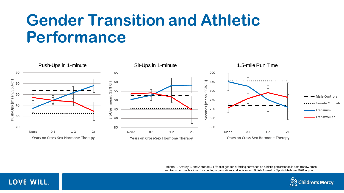

Roberts T, Smalley J, and Ahrendt D. Effect of gender-affirming hormones on athletic performance in both transw omen and transmen: Implications for sporting organizations and legislators . British Journal of Sports Medicine 2020 in print



#### LOVE WILL.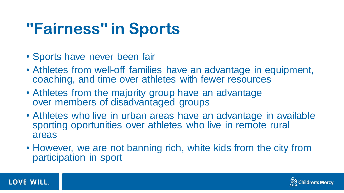# **"Fairness" in Sports**

- Sports have never been fair
- Athletes from well-off families have an advantage in equipment, coaching, and time over athletes with fewer resources
- Athletes from the majority group have an advantage over members of disadvantaged groups
- Athletes who live in urban areas have an advantage in available sporting oportunities over athletes who live in remote rural areas
- However, we are not banning rich, white kids from the city from participation in sport



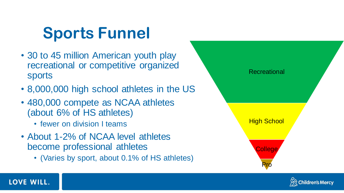# **Sports Funnel**

- 30 to 45 million American youth play recreational or competitive organized sports
- 8,000,000 high school athletes in the US
- 480,000 compete as NCAA athletes (about 6% of HS athletes)
	- fewer on division I teams
- About 1-2% of NCAA level athletes become professional athletes
	- (Varies by sport, about 0.1% of HS athletes)





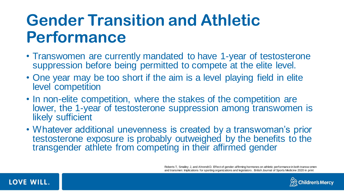- Transwomen are currently mandated to have 1-year of testosterone suppression before being permitted to compete at the elite level.
- One year may be too short if the aim is a level playing field in elite level competition
- In non-elite competition, where the stakes of the competition are lower, the 1-year of testosterone suppression among transwomen is likely sufficient
- Whatever additional unevenness is created by a transwoman's prior testosterone exposure is probably outweighed by the benefits to the transgender athlete from competing in their affirmed gender

Roberts T, Smalley J, and Ahrendt D. Effect of gender-affirming hormones on athletic performance in both transw omen and transmen: Implications for sporting organizations and legislators . British Journal of Sports Medicine 2020 in print



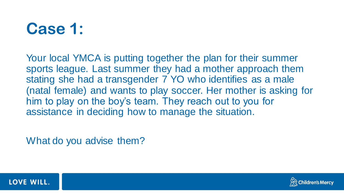# **Case 1:**

Your local YMCA is putting together the plan for their summer sports league. Last summer they had a mother approach them stating she had a transgender 7 YO who identifies as a male (natal female) and wants to play soccer. Her mother is asking for him to play on the boy's team. They reach out to you for assistance in deciding how to manage the situation.

What do you advise them?



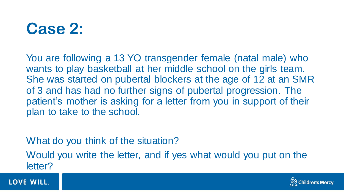## **Case 2:**

You are following a 13 YO transgender female (natal male) who wants to play basketball at her middle school on the girls team. She was started on pubertal blockers at the age of 12 at an SMR of 3 and has had no further signs of pubertal progression. The patient's mother is asking for a letter from you in support of their plan to take to the school.

What do you think of the situation?

Would you write the letter, and if yes what would you put on the letter?



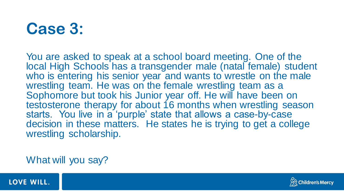# **Case 3:**

You are asked to speak at a school board meeting. One of the local High Schools has a transgender male (natal female) student who is entering his senior year and wants to wrestle on the male wrestling team. He was on the female wrestling team as a Sophomore but took his Junior year off. He will have been on testosterone therapy for about 16 months when wrestling season starts. You live in a 'purple' state that allows a case-by-case decision in these matters. He states he is trying to get a college wrestling scholarship.

What will you say?



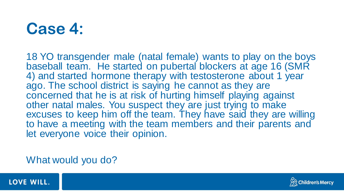# **Case 4:**

18 YO transgender male (natal female) wants to play on the boys baseball team. He started on pubertal blockers at age 16 (SMR 4) and started hormone therapy with testosterone about 1 year ago. The school district is saying he cannot as they are concerned that he is at risk of hurting himself playing against other natal males. You suspect they are just trying to make excuses to keep him off the team. They have said they are willing to have a meeting with the team members and their parents and let everyone voice their opinion.

What would you do?